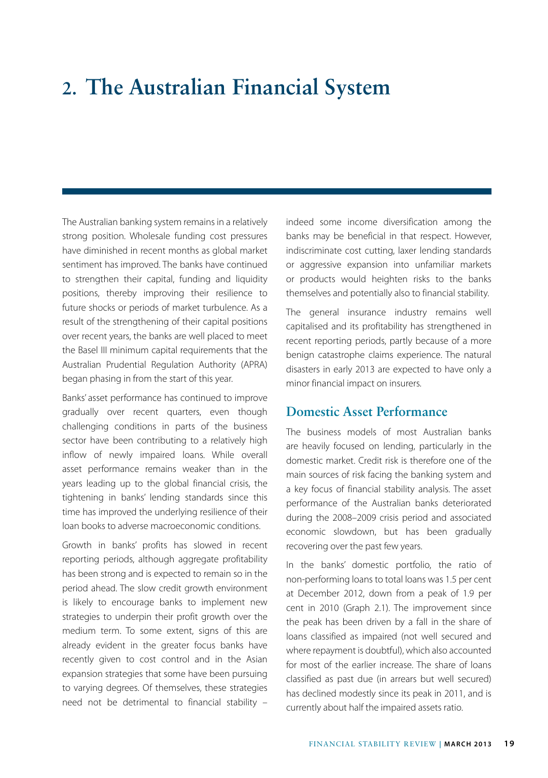# **2. The Australian Financial System**

The Australian banking system remains in a relatively strong position. Wholesale funding cost pressures have diminished in recent months as global market sentiment has improved. The banks have continued to strengthen their capital, funding and liquidity positions, thereby improving their resilience to future shocks or periods of market turbulence. As a result of the strengthening of their capital positions over recent years, the banks are well placed to meet the Basel III minimum capital requirements that the Australian Prudential Regulation Authority (APRA) began phasing in from the start of this year.

Banks' asset performance has continued to improve gradually over recent quarters, even though challenging conditions in parts of the business sector have been contributing to a relatively high inflow of newly impaired loans. While overall asset performance remains weaker than in the years leading up to the global financial crisis, the tightening in banks' lending standards since this time has improved the underlying resilience of their loan books to adverse macroeconomic conditions.

Growth in banks' profits has slowed in recent reporting periods, although aggregate profitability has been strong and is expected to remain so in the period ahead. The slow credit growth environment is likely to encourage banks to implement new strategies to underpin their profit growth over the medium term. To some extent, signs of this are already evident in the greater focus banks have recently given to cost control and in the Asian expansion strategies that some have been pursuing to varying degrees. Of themselves, these strategies need not be detrimental to financial stability – indeed some income diversification among the banks may be beneficial in that respect. However, indiscriminate cost cutting, laxer lending standards or aggressive expansion into unfamiliar markets or products would heighten risks to the banks themselves and potentially also to financial stability.

The general insurance industry remains well capitalised and its profitability has strengthened in recent reporting periods, partly because of a more benign catastrophe claims experience. The natural disasters in early 2013 are expected to have only a minor financial impact on insurers.

#### **Domestic Asset Performance**

The business models of most Australian banks are heavily focused on lending, particularly in the domestic market. Credit risk is therefore one of the main sources of risk facing the banking system and a key focus of financial stability analysis. The asset performance of the Australian banks deteriorated during the 2008–2009 crisis period and associated economic slowdown, but has been gradually recovering over the past few years.

In the banks' domestic portfolio, the ratio of non-performing loans to total loans was 1.5 per cent at December 2012, down from a peak of 1.9 per cent in 2010 (Graph 2.1). The improvement since the peak has been driven by a fall in the share of loans classified as impaired (not well secured and where repayment is doubtful), which also accounted for most of the earlier increase. The share of loans classified as past due (in arrears but well secured) has declined modestly since its peak in 2011, and is currently about half the impaired assets ratio.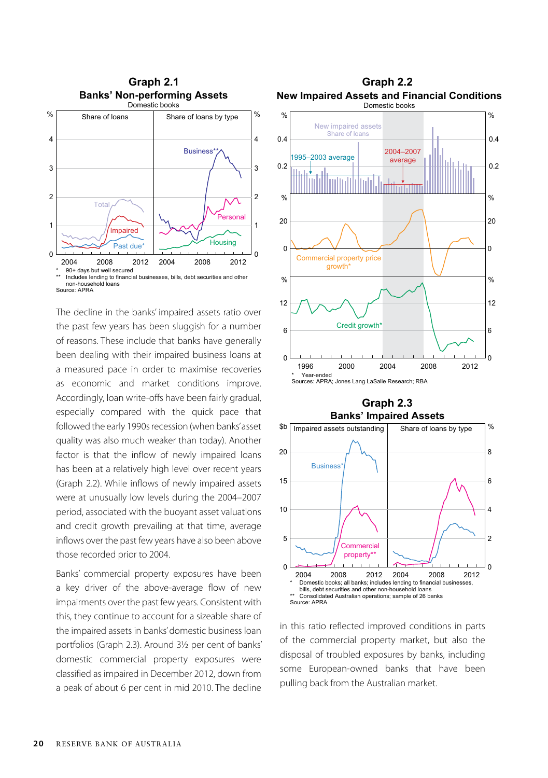

The decline in the banks' impaired assets ratio over the past few years has been sluggish for a number of reasons. These include that banks have generally been dealing with their impaired business loans at a measured pace in order to maximise recoveries as economic and market conditions improve. Accordingly, loan write-offs have been fairly gradual, especially compared with the quick pace that followed the early 1990s recession (when banks' asset quality was also much weaker than today). Another factor is that the inflow of newly impaired loans has been at a relatively high level over recent years (Graph 2.2). While inflows of newly impaired assets were at unusually low levels during the 2004–2007 period, associated with the buoyant asset valuations and credit growth prevailing at that time, average inflows over the past few years have also been above those recorded prior to 2004.

Banks' commercial property exposures have been a key driver of the above-average flow of new impairments over the past few years. Consistent with this, they continue to account for a sizeable share of the impaired assets in banks' domestic business loan portfolios (Graph 2.3). Around 3½ per cent of banks' domestic commercial property exposures were classified as impaired in December 2012, down from a peak of about 6 per cent in mid 2010. The decline



## **Graph 2.3**



in this ratio reflected improved conditions in parts of the commercial property market, but also the disposal of troubled exposures by banks, including some European-owned banks that have been pulling back from the Australian market.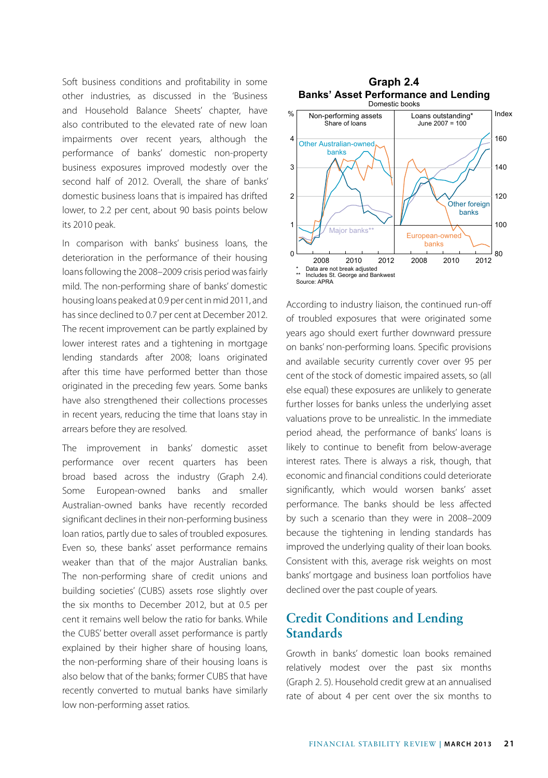Soft business conditions and profitability in some other industries, as discussed in the 'Business and Household Balance Sheets' chapter, have also contributed to the elevated rate of new loan impairments over recent years, although the performance of banks' domestic non-property business exposures improved modestly over the second half of 2012. Overall, the share of banks' domestic business loans that is impaired has drifted lower, to 2.2 per cent, about 90 basis points below its 2010 peak.

In comparison with banks' business loans, the deterioration in the performance of their housing loans following the 2008–2009 crisis period was fairly mild. The non-performing share of banks' domestic housing loans peaked at 0.9 per cent in mid 2011, and has since declined to 0.7 per cent at December 2012. The recent improvement can be partly explained by lower interest rates and a tightening in mortgage lending standards after 2008; loans originated after this time have performed better than those originated in the preceding few years. Some banks have also strengthened their collections processes in recent years, reducing the time that loans stay in arrears before they are resolved.

The improvement in banks' domestic asset performance over recent quarters has been broad based across the industry (Graph 2.4). Some European-owned banks and smaller Australian-owned banks have recently recorded significant declines in their non-performing business loan ratios, partly due to sales of troubled exposures. Even so, these banks' asset performance remains weaker than that of the major Australian banks. The non-performing share of credit unions and building societies' (CUBS) assets rose slightly over the six months to December 2012, but at 0.5 per cent it remains well below the ratio for banks. While the CUBS' better overall asset performance is partly explained by their higher share of housing loans, the non-performing share of their housing loans is also below that of the banks; former CUBS that have recently converted to mutual banks have similarly low non-performing asset ratios.



According to industry liaison, the continued run-off of troubled exposures that were originated some years ago should exert further downward pressure on banks' non-performing loans. Specific provisions and available security currently cover over 95 per cent of the stock of domestic impaired assets, so (all else equal) these exposures are unlikely to generate further losses for banks unless the underlying asset valuations prove to be unrealistic. In the immediate period ahead, the performance of banks' loans is likely to continue to benefit from below-average interest rates. There is always a risk, though, that economic and financial conditions could deteriorate significantly, which would worsen banks' asset performance. The banks should be less affected by such a scenario than they were in 2008–2009 because the tightening in lending standards has improved the underlying quality of their loan books. Consistent with this, average risk weights on most banks' mortgage and business loan portfolios have declined over the past couple of years.

### **Credit Conditions and Lending Standards**

Growth in banks' domestic loan books remained relatively modest over the past six months (Graph 2. 5). Household credit grew at an annualised rate of about 4 per cent over the six months to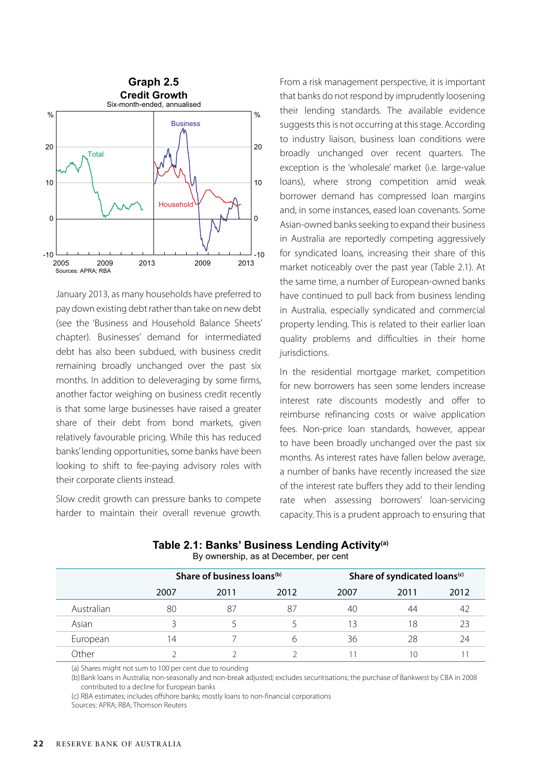

January 2013, as many households have preferred to pay down existing debt rather than take on new debt (see the 'Business and Household Balance Sheets' chapter). Businesses' demand for intermediated debt has also been subdued, with business credit remaining broadly unchanged over the past six months. In addition to deleveraging by some firms, another factor weighing on business credit recently is that some large businesses have raised a greater share of their debt from bond markets, given relatively favourable pricing. While this has reduced banks' lending opportunities, some banks have been looking to shift to fee-paying advisory roles with their corporate clients instead.

Slow credit growth can pressure banks to compete harder to maintain their overall revenue growth. From a risk management perspective, it is important that banks do not respond by imprudently loosening their lending standards. The available evidence suggests this is not occurring at this stage. According to industry liaison, business loan conditions were broadly unchanged over recent quarters. The exception is the 'wholesale' market (i.e. large-value loans), where strong competition amid weak borrower demand has compressed loan margins and, in some instances, eased loan covenants. Some Asian-owned banks seeking to expand their business in Australia are reportedly competing aggressively for syndicated loans, increasing their share of this market noticeably over the past year (Table 2.1). At the same time, a number of European-owned banks have continued to pull back from business lending in Australia, especially syndicated and commercial property lending. This is related to their earlier loan quality problems and difficulties in their home jurisdictions.

In the residential mortgage market, competition for new borrowers has seen some lenders increase interest rate discounts modestly and offer to reimburse refinancing costs or waive application fees. Non-price loan standards, however, appear to have been broadly unchanged over the past six months. As interest rates have fallen below average, a number of banks have recently increased the size of the interest rate buffers they add to their lending rate when assessing borrowers' loan-servicing capacity. This is a prudent approach to ensuring that

|            | Share of business loans <sup>(b)</sup> |      |      | Share of syndicated loans <sup>(c)</sup> |      |      |
|------------|----------------------------------------|------|------|------------------------------------------|------|------|
|            | 2007                                   | 2011 | 2012 | 2007                                     | 2011 | 2012 |
| Australian | 80                                     | 87   | 87   | 40                                       | 44   |      |
| Asian      | 5                                      |      |      | 13                                       | 18   |      |
| European   | 14                                     |      | h    | 36                                       | 28   | 24   |
| )ther      |                                        |      |      |                                          | ١C   |      |

**Table 2.1: Banks' Business Lending Activity(a)** By ownership, as at December, per cent

(a) Shares might not sum to 100 per cent due to rounding

(b) Bank loans in Australia; non-seasonally and non-break adjusted; excludes securitisations; the purchase of Bankwest by CBA in 2008 contributed to a decline for European banks

(c) RBA estimates; includes offshore banks; mostly loans to non-financial corporations

Sources: APRA; RBA; Thomson Reuters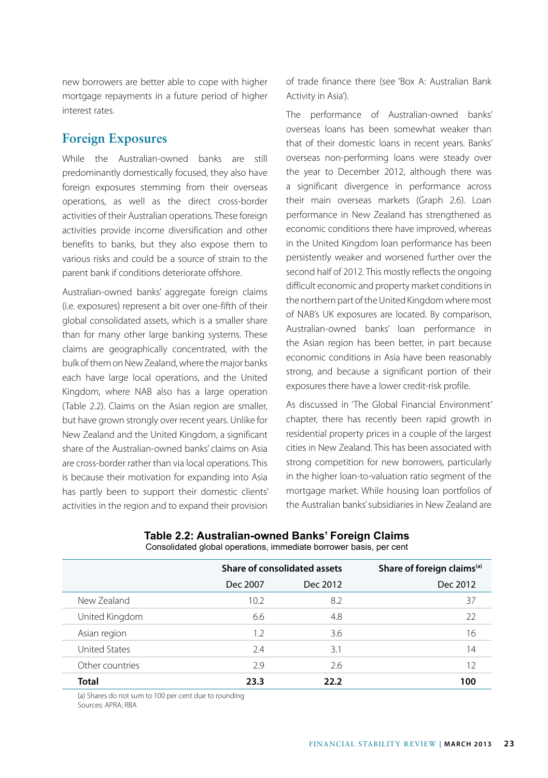new borrowers are better able to cope with higher mortgage repayments in a future period of higher interest rates.

#### **Foreign Exposures**

While the Australian-owned banks are still predominantly domestically focused, they also have foreign exposures stemming from their overseas operations, as well as the direct cross-border activities of their Australian operations. These foreign activities provide income diversification and other benefits to banks, but they also expose them to various risks and could be a source of strain to the parent bank if conditions deteriorate offshore.

Australian-owned banks' aggregate foreign claims (i.e. exposures) represent a bit over one-fifth of their global consolidated assets, which is a smaller share than for many other large banking systems. These claims are geographically concentrated, with the bulk of them on New Zealand, where the major banks each have large local operations, and the United Kingdom, where NAB also has a large operation (Table 2.2). Claims on the Asian region are smaller, but have grown strongly over recent years. Unlike for New Zealand and the United Kingdom, a significant share of the Australian-owned banks' claims on Asia are cross-border rather than via local operations. This is because their motivation for expanding into Asia has partly been to support their domestic clients' activities in the region and to expand their provision of trade finance there (see 'Box A: Australian Bank Activity in Asia').

The performance of Australian-owned banks' overseas loans has been somewhat weaker than that of their domestic loans in recent years. Banks' overseas non-performing loans were steady over the year to December 2012, although there was a significant divergence in performance across their main overseas markets (Graph 2.6). Loan performance in New Zealand has strengthened as economic conditions there have improved, whereas in the United Kingdom loan performance has been persistently weaker and worsened further over the second half of 2012. This mostly reflects the ongoing difficult economic and property market conditions in the northern part of the United Kingdom where most of NAB's UK exposures are located. By comparison, Australian-owned banks' loan performance in the Asian region has been better, in part because economic conditions in Asia have been reasonably strong, and because a significant portion of their exposures there have a lower credit-risk profile.

As discussed in 'The Global Financial Environment' chapter, there has recently been rapid growth in residential property prices in a couple of the largest cities in New Zealand. This has been associated with strong competition for new borrowers, particularly in the higher loan-to-valuation ratio segment of the mortgage market. While housing loan portfolios of the Australian banks' subsidiaries in New Zealand are

|                      | Share of consolidated assets |          | Share of foreign claims <sup>(a)</sup> |  |
|----------------------|------------------------------|----------|----------------------------------------|--|
|                      | Dec 2007                     | Dec 2012 | Dec 2012                               |  |
| New Zealand          | 10.2 <sup>5</sup>            | 8.2      | 37                                     |  |
| United Kingdom       | 6.6                          | 4.8      | 22                                     |  |
| Asian region         | 1.2                          | 3.6      | 16                                     |  |
| <b>United States</b> | 2.4                          | 3.1      | 14                                     |  |
| Other countries      | 2.9                          | 2.6      | 12                                     |  |
| Total                | 23.3                         | 22.2     | 100                                    |  |

#### **Table 2.2: Australian-owned Banks' Foreign Claims** Consolidated global operations, immediate borrower basis, per cent

(a) Shares do not sum to 100 per cent due to rounding Sources: APRA; RBA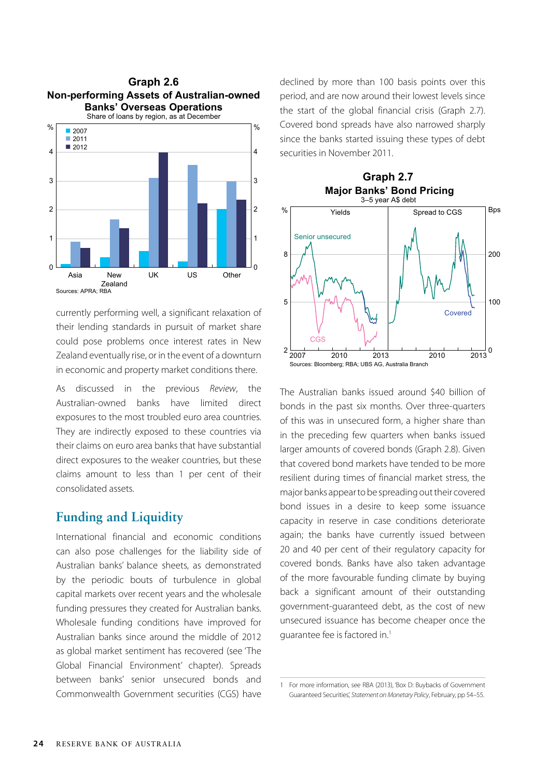

currently performing well, a significant relaxation of their lending standards in pursuit of market share could pose problems once interest rates in New Zealand eventually rise, or in the event of a downturn in economic and property market conditions there.

As discussed in the previous *Review*, the Australian-owned banks have limited direct exposures to the most troubled euro area countries. They are indirectly exposed to these countries via their claims on euro area banks that have substantial direct exposures to the weaker countries, but these claims amount to less than 1 per cent of their consolidated assets.

#### **Funding and Liquidity**

International financial and economic conditions can also pose challenges for the liability side of Australian banks' balance sheets, as demonstrated by the periodic bouts of turbulence in global capital markets over recent years and the wholesale funding pressures they created for Australian banks. Wholesale funding conditions have improved for Australian banks since around the middle of 2012 as global market sentiment has recovered (see 'The Global Financial Environment' chapter). Spreads between banks' senior unsecured bonds and Commonwealth Government securities (CGS) have declined by more than 100 basis points over this period, and are now around their lowest levels since the start of the global financial crisis (Graph 2.7). Covered bond spreads have also narrowed sharply since the banks started issuing these types of debt securities in November 2011.



The Australian banks issued around \$40 billion of bonds in the past six months. Over three-quarters of this was in unsecured form, a higher share than in the preceding few quarters when banks issued larger amounts of covered bonds (Graph 2.8). Given that covered bond markets have tended to be more resilient during times of financial market stress, the major banks appear to be spreading out their covered bond issues in a desire to keep some issuance capacity in reserve in case conditions deteriorate again; the banks have currently issued between 20 and 40 per cent of their regulatory capacity for covered bonds. Banks have also taken advantage of the more favourable funding climate by buying back a significant amount of their outstanding government-guaranteed debt, as the cost of new unsecured issuance has become cheaper once the guarantee fee is factored in.<sup>1</sup>

<sup>1</sup> For more information, see RBA (2013), 'Box D: Buybacks of Government Guaranteed Securities', *Statement on Monetary Policy*, February, pp 54–55.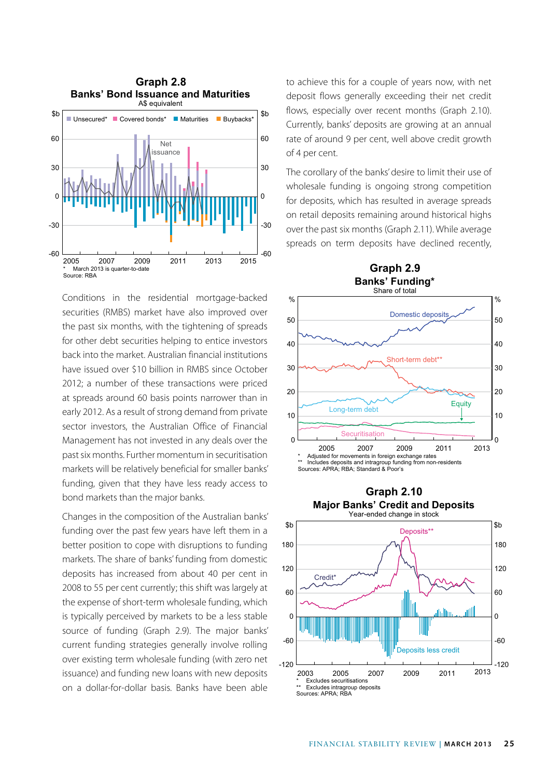

Conditions in the residential mortgage-backed securities (RMBS) market have also improved over the past six months, with the tightening of spreads for other debt securities helping to entice investors back into the market. Australian financial institutions have issued over \$10 billion in RMBS since October 2012; a number of these transactions were priced at spreads around 60 basis points narrower than in early 2012. As a result of strong demand from private sector investors, the Australian Office of Financial Management has not invested in any deals over the past six months. Further momentum in securitisation markets will be relatively beneficial for smaller banks' funding, given that they have less ready access to bond markets than the major banks.

Changes in the composition of the Australian banks' funding over the past few years have left them in a better position to cope with disruptions to funding markets. The share of banks' funding from domestic deposits has increased from about 40 per cent in 2008 to 55 per cent currently; this shift was largely at the expense of short-term wholesale funding, which is typically perceived by markets to be a less stable source of funding (Graph 2.9). The major banks' current funding strategies generally involve rolling over existing term wholesale funding (with zero net issuance) and funding new loans with new deposits on a dollar-for-dollar basis. Banks have been able

to achieve this for a couple of years now, with net deposit flows generally exceeding their net credit flows, especially over recent months (Graph 2.10). Currently, banks' deposits are growing at an annual rate of around 9 per cent, well above credit growth of 4 per cent.

The corollary of the banks' desire to limit their use of wholesale funding is ongoing strong competition for deposits, which has resulted in average spreads on retail deposits remaining around historical highs over the past six months (Graph 2.11). While average spreads on term deposits have declined recently,



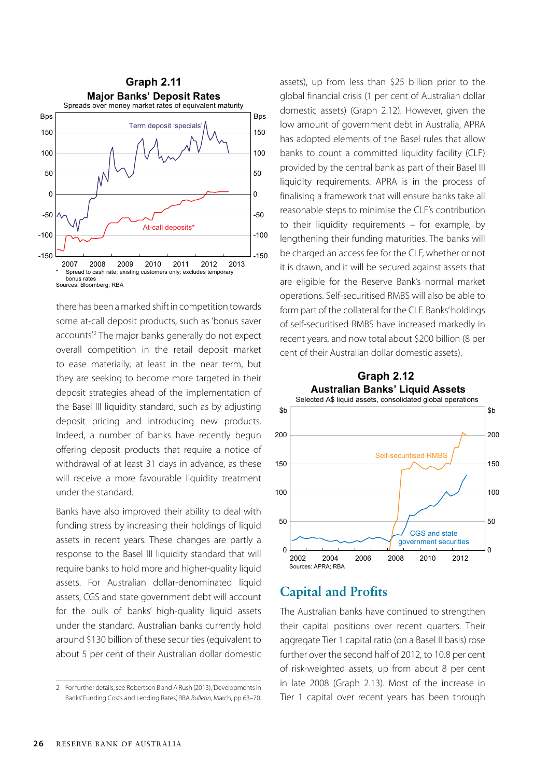

there has been a marked shift in competition towards some at-call deposit products, such as 'bonus saver accounts<sup>'2</sup> The major banks generally do not expect overall competition in the retail deposit market to ease materially, at least in the near term, but they are seeking to become more targeted in their deposit strategies ahead of the implementation of the Basel III liquidity standard, such as by adjusting deposit pricing and introducing new products. Indeed, a number of banks have recently begun offering deposit products that require a notice of withdrawal of at least 31 days in advance, as these will receive a more favourable liquidity treatment under the standard.

Banks have also improved their ability to deal with funding stress by increasing their holdings of liquid assets in recent years. These changes are partly a response to the Basel III liquidity standard that will require banks to hold more and higher-quality liquid assets. For Australian dollar-denominated liquid assets, CGS and state government debt will account for the bulk of banks' high-quality liquid assets under the standard. Australian banks currently hold around \$130 billion of these securities (equivalent to about 5 per cent of their Australian dollar domestic assets), up from less than \$25 billion prior to the global financial crisis (1 per cent of Australian dollar domestic assets) (Graph 2.12). However, given the low amount of government debt in Australia, APRA has adopted elements of the Basel rules that allow banks to count a committed liquidity facility (CLF) provided by the central bank as part of their Basel III liquidity requirements. APRA is in the process of finalising a framework that will ensure banks take all reasonable steps to minimise the CLF's contribution to their liquidity requirements – for example, by lengthening their funding maturities. The banks will be charged an access fee for the CLF, whether or not it is drawn, and it will be secured against assets that are eligible for the Reserve Bank's normal market operations. Self-securitised RMBS will also be able to form part of the collateral for the CLF. Banks' holdings of self-securitised RMBS have increased markedly in recent years, and now total about \$200 billion (8 per cent of their Australian dollar domestic assets).



#### **Capital and Profits**

The Australian banks have continued to strengthen their capital positions over recent quarters. Their aggregate Tier 1 capital ratio (on a Basel II basis) rose further over the second half of 2012, to 10.8 per cent of risk-weighted assets, up from about 8 per cent in late 2008 (Graph 2.13). Most of the increase in Tier 1 capital over recent years has been through

<sup>2</sup> For further details, see Robertson B and A Rush (2013), 'Developments in Banks' Funding Costs and Lending Rates', RBA *Bulletin*, March, pp 63–70.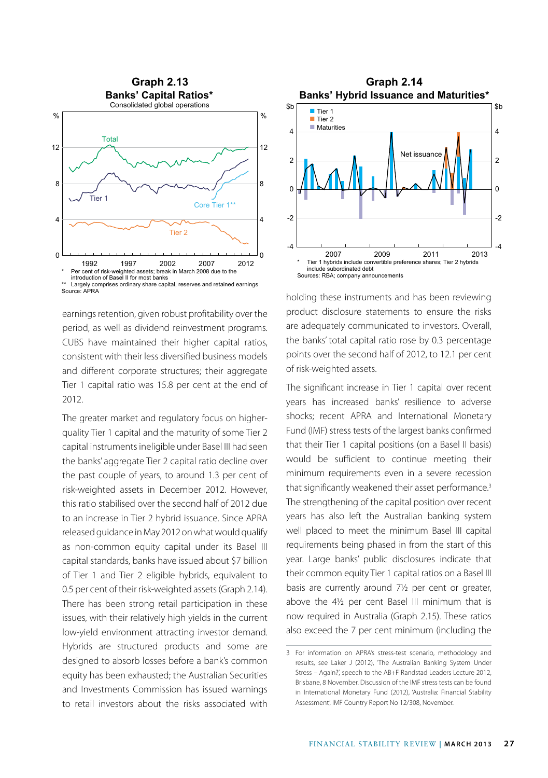

earnings retention, given robust profitability over the period, as well as dividend reinvestment programs. CUBS have maintained their higher capital ratios, consistent with their less diversified business models and different corporate structures; their aggregate Tier 1 capital ratio was 15.8 per cent at the end of 2012.

The greater market and regulatory focus on higherquality Tier 1 capital and the maturity of some Tier 2 capital instruments ineligible under Basel III had seen the banks' aggregate Tier 2 capital ratio decline over the past couple of years, to around 1.3 per cent of risk-weighted assets in December 2012. However, this ratio stabilised over the second half of 2012 due to an increase in Tier 2 hybrid issuance. Since APRA released guidance in May 2012 on what would qualify as non-common equity capital under its Basel III capital standards, banks have issued about \$7 billion of Tier 1 and Tier 2 eligible hybrids, equivalent to 0.5 per cent of their risk-weighted assets (Graph 2.14). There has been strong retail participation in these issues, with their relatively high yields in the current low-yield environment attracting investor demand. Hybrids are structured products and some are designed to absorb losses before a bank's common equity has been exhausted; the Australian Securities and Investments Commission has issued warnings to retail investors about the risks associated with



holding these instruments and has been reviewing product disclosure statements to ensure the risks are adequately communicated to investors. Overall, the banks' total capital ratio rose by 0.3 percentage points over the second half of 2012, to 12.1 per cent of risk-weighted assets.

The significant increase in Tier 1 capital over recent years has increased banks' resilience to adverse shocks; recent APRA and International Monetary Fund (IMF) stress tests of the largest banks confirmed that their Tier 1 capital positions (on a Basel II basis) would be sufficient to continue meeting their minimum requirements even in a severe recession that significantly weakened their asset performance.<sup>3</sup> The strengthening of the capital position over recent years has also left the Australian banking system well placed to meet the minimum Basel III capital requirements being phased in from the start of this year. Large banks' public disclosures indicate that their common equity Tier 1 capital ratios on a Basel III basis are currently around 7½ per cent or greater, above the 4½ per cent Basel III minimum that is now required in Australia (Graph 2.15). These ratios also exceed the 7 per cent minimum (including the

<sup>3</sup> For information on APRA's stress-test scenario, methodology and results, see Laker J (2012), 'The Australian Banking System Under Stress – Again?', speech to the AB+F Randstad Leaders Lecture 2012, Brisbane, 8 November. Discussion of the IMF stress tests can be found in International Monetary Fund (2012), 'Australia: Financial Stability Assessment', IMF Country Report No 12/308, November.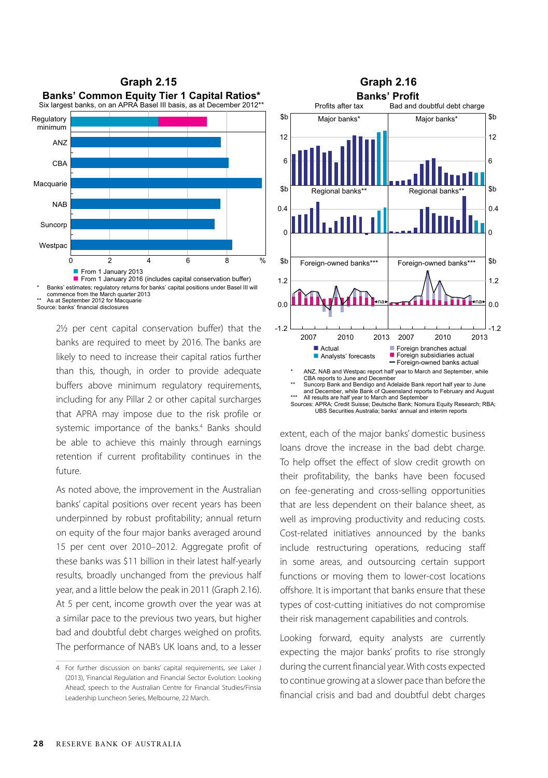

Source: banks' financial disclosures

2½ per cent capital conservation buffer) that the banks are required to meet by 2016. The banks are likely to need to increase their capital ratios further than this, though, in order to provide adequate buffers above minimum regulatory requirements, including for any Pillar 2 or other capital surcharges that APRA may impose due to the risk profile or systemic importance of the banks.<sup>4</sup> Banks should be able to achieve this mainly through earnings retention if current profitability continues in the future.

As noted above, the improvement in the Australian banks' capital positions over recent years has been underpinned by robust profitability; annual return on equity of the four major banks averaged around 15 per cent over 2010–2012. Aggregate profit of these banks was \$11 billion in their latest half-yearly results, broadly unchanged from the previous half year, and a little below the peak in 2011 (Graph 2.16). At 5 per cent, income growth over the year was at a similar pace to the previous two years, but higher bad and doubtful debt charges weighed on profits. The performance of NAB's UK loans and, to a lesser



UBS Securities Australia; banks' annual and interim reports

extent, each of the major banks' domestic business loans drove the increase in the bad debt charge. To help offset the effect of slow credit growth on their profitability, the banks have been focused on fee-generating and cross-selling opportunities that are less dependent on their balance sheet, as well as improving productivity and reducing costs. Cost-related initiatives announced by the banks include restructuring operations, reducing staff in some areas, and outsourcing certain support functions or moving them to lower-cost locations offshore. It is important that banks ensure that these types of cost-cutting initiatives do not compromise their risk management capabilities and controls.

Looking forward, equity analysts are currently expecting the major banks' profits to rise strongly during the current financial year. With costs expected to continue growing at a slower pace than before the financial crisis and bad and doubtful debt charges

<sup>4</sup> For further discussion on banks' capital requirements, see Laker J (2013), 'Financial Regulation and Financial Sector Evolution: Looking Ahead', speech to the Australian Centre for Financial Studies/Finsia Leadership Luncheon Series, Melbourne, 22 March.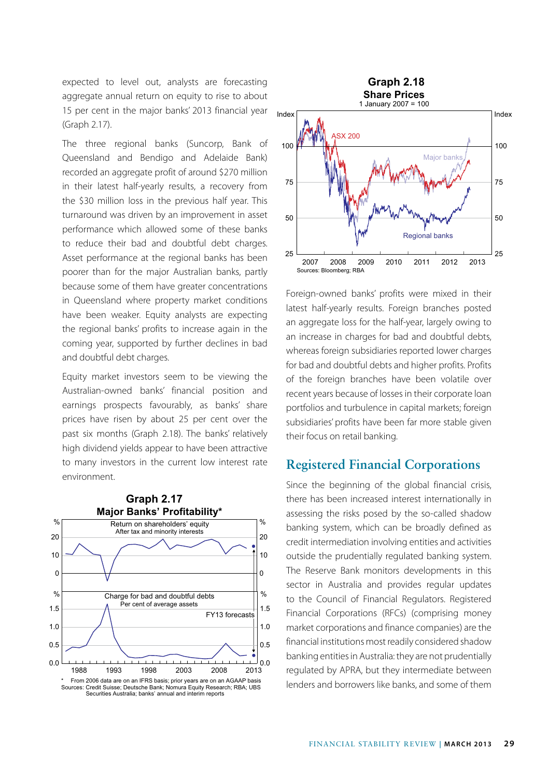expected to level out, analysts are forecasting aggregate annual return on equity to rise to about 15 per cent in the major banks' 2013 financial year (Graph 2.17).

The three regional banks (Suncorp, Bank of Queensland and Bendigo and Adelaide Bank) recorded an aggregate profit of around \$270 million in their latest half-yearly results, a recovery from the \$30 million loss in the previous half year. This turnaround was driven by an improvement in asset performance which allowed some of these banks to reduce their bad and doubtful debt charges. Asset performance at the regional banks has been poorer than for the major Australian banks, partly because some of them have greater concentrations in Queensland where property market conditions have been weaker. Equity analysts are expecting the regional banks' profits to increase again in the coming year, supported by further declines in bad and doubtful debt charges.

Equity market investors seem to be viewing the Australian-owned banks' financial position and earnings prospects favourably, as banks' share prices have risen by about 25 per cent over the past six months (Graph 2.18). The banks' relatively high dividend yields appear to have been attractive to many investors in the current low interest rate environment.





Foreign-owned banks' profits were mixed in their latest half-yearly results. Foreign branches posted an aggregate loss for the half-year, largely owing to an increase in charges for bad and doubtful debts, whereas foreign subsidiaries reported lower charges for bad and doubtful debts and higher profits. Profits of the foreign branches have been volatile over recent years because of losses in their corporate loan portfolios and turbulence in capital markets; foreign subsidiaries' profits have been far more stable given their focus on retail banking.

#### **Registered Financial Corporations**

Since the beginning of the global financial crisis, there has been increased interest internationally in assessing the risks posed by the so-called shadow banking system, which can be broadly defined as credit intermediation involving entities and activities outside the prudentially regulated banking system. The Reserve Bank monitors developments in this sector in Australia and provides regular updates to the Council of Financial Regulators. Registered Financial Corporations (RFCs) (comprising money market corporations and finance companies) are the financial institutions most readily considered shadow banking entities in Australia: they are not prudentially regulated by APRA, but they intermediate between lenders and borrowers like banks, and some of them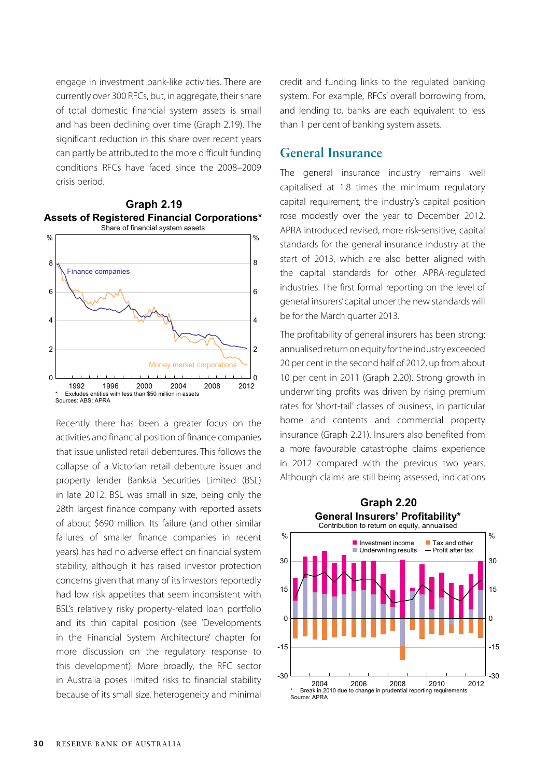engage in investment bank-like activities. There are currently over 300 RFCs, but, in aggregate, their share of total domestic financial system assets is small and has been declining over time (Graph 2.19). The significant reduction in this share over recent years can partly be attributed to the more difficult funding conditions RFCs have faced since the 2008–2009 crisis period.





Recently there has been a greater focus on the activities and financial position of finance companies that issue unlisted retail debentures. This follows the collapse of a Victorian retail debenture issuer and property lender Banksia Securities Limited (BSL) in late 2012. BSL was small in size, being only the 28th largest finance company with reported assets of about \$690 million. Its failure (and other similar failures of smaller finance companies in recent years) has had no adverse effect on financial system stability, although it has raised investor protection concerns given that many of its investors reportedly had low risk appetites that seem inconsistent with BSL's relatively risky property-related loan portfolio and its thin capital position (see 'Developments in the Financial System Architecture' chapter for more discussion on the regulatory response to this development). More broadly, the RFC sector in Australia poses limited risks to financial stability because of its small size, heterogeneity and minimal credit and funding links to the regulated banking system. For example, RFCs' overall borrowing from, and lending to, banks are each equivalent to less than 1 per cent of banking system assets.

#### **General Insurance**

The general insurance industry remains well capitalised at 1.8 times the minimum regulatory capital requirement; the industry's capital position rose modestly over the year to December 2012. APRA introduced revised, more risk-sensitive, capital standards for the general insurance industry at the start of 2013, which are also better aligned with the capital standards for other APRA-regulated industries. The first formal reporting on the level of general insurers' capital under the new standards will be for the March quarter 2013.

The profitability of general insurers has been strong: annualised return on equity for the industry exceeded 20 per cent in the second half of 2012, up from about 10 per cent in 2011 (Graph 2.20). Strong growth in underwriting profits was driven by rising premium rates for 'short-tail' classes of business, in particular home and contents and commercial property insurance (Graph 2.21). Insurers also benefited from a more favourable catastrophe claims experience in 2012 compared with the previous two years. Although claims are still being assessed, indications

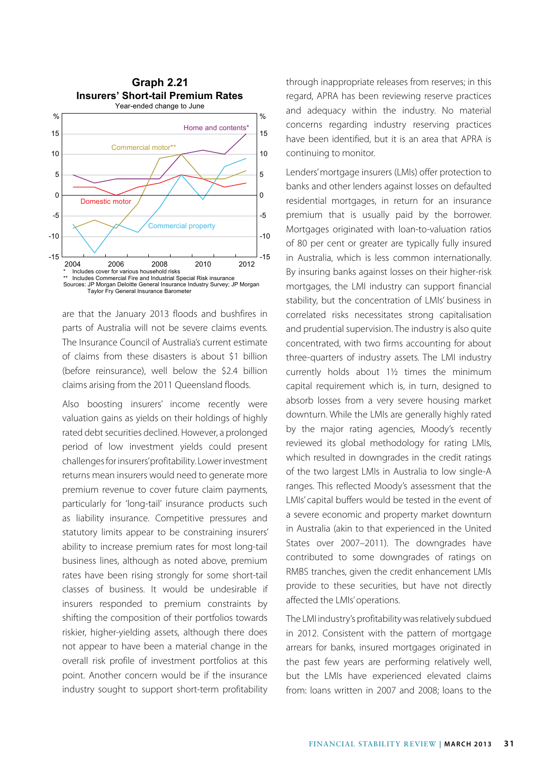

are that the January 2013 floods and bushfires in parts of Australia will not be severe claims events. The Insurance Council of Australia's current estimate of claims from these disasters is about \$1 billion (before reinsurance), well below the \$2.4 billion claims arising from the 2011 Queensland floods.

Also boosting insurers' income recently were valuation gains as yields on their holdings of highly rated debt securities declined. However, a prolonged period of low investment yields could present challenges for insurers' profitability. Lower investment returns mean insurers would need to generate more premium revenue to cover future claim payments, particularly for 'long-tail' insurance products such as liability insurance. Competitive pressures and statutory limits appear to be constraining insurers' ability to increase premium rates for most long-tail business lines, although as noted above, premium rates have been rising strongly for some short-tail classes of business. It would be undesirable if insurers responded to premium constraints by shifting the composition of their portfolios towards riskier, higher-yielding assets, although there does not appear to have been a material change in the overall risk profile of investment portfolios at this point. Another concern would be if the insurance industry sought to support short-term profitability through inappropriate releases from reserves; in this regard, APRA has been reviewing reserve practices and adequacy within the industry. No material concerns regarding industry reserving practices have been identified, but it is an area that APRA is continuing to monitor.

Lenders' mortgage insurers (LMIs) offer protection to banks and other lenders against losses on defaulted residential mortgages, in return for an insurance premium that is usually paid by the borrower. Mortgages originated with loan-to-valuation ratios of 80 per cent or greater are typically fully insured in Australia, which is less common internationally. By insuring banks against losses on their higher-risk mortgages, the LMI industry can support financial stability, but the concentration of LMIs' business in correlated risks necessitates strong capitalisation and prudential supervision. The industry is also quite concentrated, with two firms accounting for about three-quarters of industry assets. The LMI industry currently holds about 1½ times the minimum capital requirement which is, in turn, designed to absorb losses from a very severe housing market downturn. While the LMIs are generally highly rated by the major rating agencies, Moody's recently reviewed its global methodology for rating LMIs, which resulted in downgrades in the credit ratings of the two largest LMIs in Australia to low single-A ranges. This reflected Moody's assessment that the LMIs' capital buffers would be tested in the event of a severe economic and property market downturn in Australia (akin to that experienced in the United States over 2007–2011). The downgrades have contributed to some downgrades of ratings on RMBS tranches, given the credit enhancement LMIs provide to these securities, but have not directly affected the LMIs' operations.

The LMI industry's profitability was relatively subdued in 2012. Consistent with the pattern of mortgage arrears for banks, insured mortgages originated in the past few years are performing relatively well, but the LMIs have experienced elevated claims from: loans written in 2007 and 2008; loans to the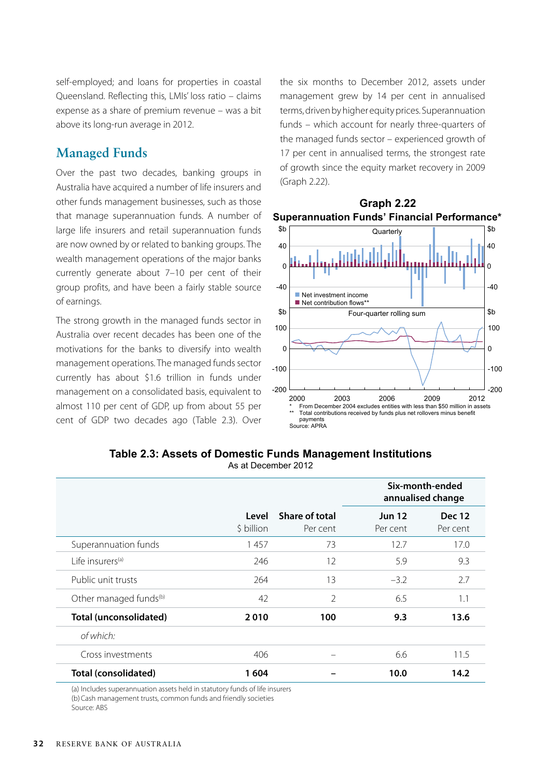self-employed; and loans for properties in coastal Queensland. Reflecting this, LMIs' loss ratio – claims expense as a share of premium revenue – was a bit above its long-run average in 2012.

#### **Managed Funds**

Over the past two decades, banking groups in Australia have acquired a number of life insurers and other funds management businesses, such as those that manage superannuation funds. A number of large life insurers and retail superannuation funds are now owned by or related to banking groups. The wealth management operations of the major banks currently generate about 7–10 per cent of their group profits, and have been a fairly stable source of earnings.

The strong growth in the managed funds sector in Australia over recent decades has been one of the motivations for the banks to diversify into wealth management operations. The managed funds sector currently has about \$1.6 trillion in funds under management on a consolidated basis, equivalent to almost 110 per cent of GDP, up from about 55 per cent of GDP two decades ago (Table 2.3). Over the six months to December 2012, assets under management grew by 14 per cent in annualised terms, driven by higher equity prices. Superannuation funds – which account for nearly three-quarters of the managed funds sector – experienced growth of 17 per cent in annualised terms, the strongest rate of growth since the equity market recovery in 2009 (Graph 2.22).



| Table 2.3: Assets of Domestic Funds Management Institutions |  |  |  |
|-------------------------------------------------------------|--|--|--|
|                                                             |  |  |  |

As at December 2012

|                                    |                     |                            | Six-month-ended<br>annualised change |                           |  |
|------------------------------------|---------------------|----------------------------|--------------------------------------|---------------------------|--|
|                                    | Level<br>\$ billion | Share of total<br>Per cent | <b>Jun 12</b><br>Per cent            | <b>Dec 12</b><br>Per cent |  |
| Superannuation funds               | 1457                | 73                         | 12.7                                 | 17.0                      |  |
| l ife insurers <sup>(a)</sup>      | 246                 | 12                         | 5.9                                  | 9.3                       |  |
| Public unit trusts                 | 264                 | 13                         | $-3.2$                               | 2.7                       |  |
| Other managed funds <sup>(b)</sup> | 42                  | $\mathfrak{D}$             | 6.5                                  | 1.1                       |  |
| Total (unconsolidated)             | 2010                | 100                        | 9.3                                  | 13.6                      |  |
| of which:                          |                     |                            |                                      |                           |  |
| Cross investments                  | 406                 |                            | 6.6                                  | 11.5                      |  |
| Total (consolidated)               | 1604                |                            | 10.0                                 | 14.2                      |  |

(a) Includes superannuation assets held in statutory funds of life insurers (b)Cash management trusts, common funds and friendly societies Source: ABS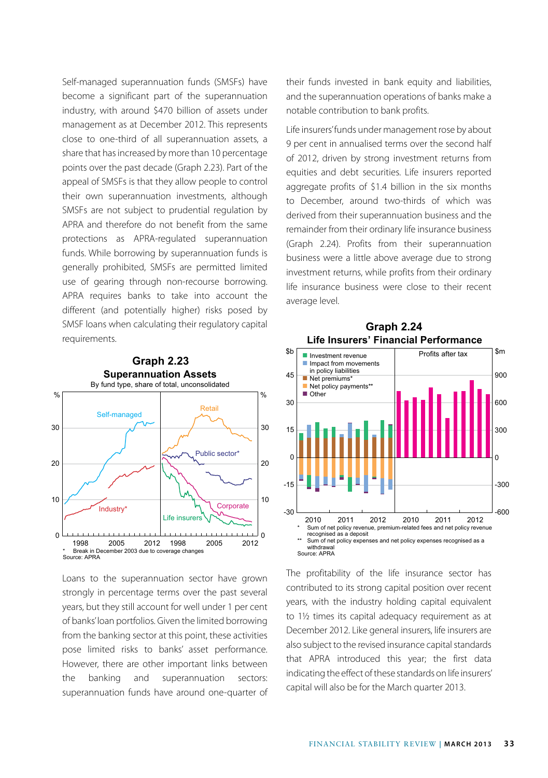Self-managed superannuation funds (SMSFs) have become a significant part of the superannuation industry, with around \$470 billion of assets under management as at December 2012. This represents close to one-third of all superannuation assets, a share that has increased by more than 10 percentage points over the past decade (Graph 2.23). Part of the appeal of SMSFs is that they allow people to control their own superannuation investments, although SMSFs are not subject to prudential regulation by APRA and therefore do not benefit from the same protections as APRA-regulated superannuation funds. While borrowing by superannuation funds is generally prohibited, SMSFs are permitted limited use of gearing through non-recourse borrowing. APRA requires banks to take into account the different (and potentially higher) risks posed by SMSF loans when calculating their regulatory capital requirements.



Loans to the superannuation sector have grown strongly in percentage terms over the past several years, but they still account for well under 1 per cent of banks' loan portfolios. Given the limited borrowing from the banking sector at this point, these activities pose limited risks to banks' asset performance. However, there are other important links between the banking and superannuation sectors: superannuation funds have around one-quarter of their funds invested in bank equity and liabilities, and the superannuation operations of banks make a notable contribution to bank profits.

Life insurers' funds under management rose by about 9 per cent in annualised terms over the second half of 2012, driven by strong investment returns from equities and debt securities. Life insurers reported aggregate profits of \$1.4 billion in the six months to December, around two-thirds of which was derived from their superannuation business and the remainder from their ordinary life insurance business (Graph 2.24). Profits from their superannuation business were a little above average due to strong investment returns, while profits from their ordinary life insurance business were close to their recent average level.



**Life Insurers' Financial Performance Graph 2.24**

The profitability of the life insurance sector has contributed to its strong capital position over recent years, with the industry holding capital equivalent to 1½ times its capital adequacy requirement as at December 2012. Like general insurers, life insurers are also subject to the revised insurance capital standards that APRA introduced this year; the first data indicating the effect of these standards on life insurers' capital will also be for the March quarter 2013.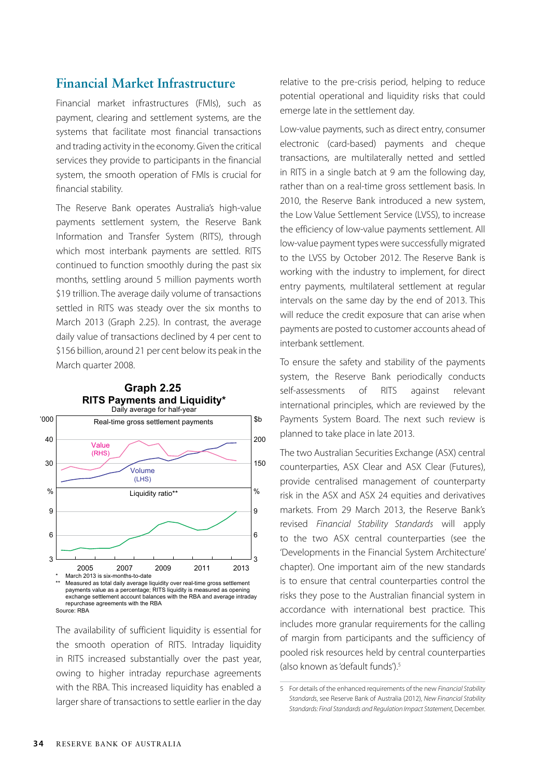#### **Financial Market Infrastructure**

Financial market infrastructures (FMIs), such as payment, clearing and settlement systems, are the systems that facilitate most financial transactions and trading activity in the economy. Given the critical services they provide to participants in the financial system, the smooth operation of FMIs is crucial for financial stability.

The Reserve Bank operates Australia's high-value payments settlement system, the Reserve Bank Information and Transfer System (RITS), through which most interbank payments are settled. RITS continued to function smoothly during the past six months, settling around 5 million payments worth \$19 trillion. The average daily volume of transactions settled in RITS was steady over the six months to March 2013 (Graph 2.25). In contrast, the average daily value of transactions declined by 4 per cent to \$156 billion, around 21 per cent below its peak in the March quarter 2008.



The availability of sufficient liquidity is essential for the smooth operation of RITS. Intraday liquidity in RITS increased substantially over the past year, owing to higher intraday repurchase agreements with the RBA. This increased liquidity has enabled a larger share of transactions to settle earlier in the day relative to the pre-crisis period, helping to reduce potential operational and liquidity risks that could emerge late in the settlement day.

Low-value payments, such as direct entry, consumer electronic (card-based) payments and cheque transactions, are multilaterally netted and settled in RITS in a single batch at 9 am the following day, rather than on a real-time gross settlement basis. In 2010, the Reserve Bank introduced a new system, the Low Value Settlement Service (LVSS), to increase the efficiency of low-value payments settlement. All low-value payment types were successfully migrated to the LVSS by October 2012. The Reserve Bank is working with the industry to implement, for direct entry payments, multilateral settlement at regular intervals on the same day by the end of 2013. This will reduce the credit exposure that can arise when payments are posted to customer accounts ahead of interbank settlement.

To ensure the safety and stability of the payments system, the Reserve Bank periodically conducts self-assessments of RITS against relevant international principles, which are reviewed by the Payments System Board. The next such review is planned to take place in late 2013.

The two Australian Securities Exchange (ASX) central counterparties, ASX Clear and ASX Clear (Futures), provide centralised management of counterparty risk in the ASX and ASX 24 equities and derivatives markets. From 29 March 2013, the Reserve Bank's revised *Financial Stability Standards* will apply to the two ASX central counterparties (see the 'Developments in the Financial System Architecture' chapter). One important aim of the new standards is to ensure that central counterparties control the risks they pose to the Australian financial system in accordance with international best practice. This includes more granular requirements for the calling of margin from participants and the sufficiency of pooled risk resources held by central counterparties (also known as 'default funds').5

<sup>5</sup> For details of the enhanced requirements of the new *Financial Stability Standards*, see Reserve Bank of Australia (2012), *New Financial Stability Standards: Final Standards and Regulation Impact Statement,* December.